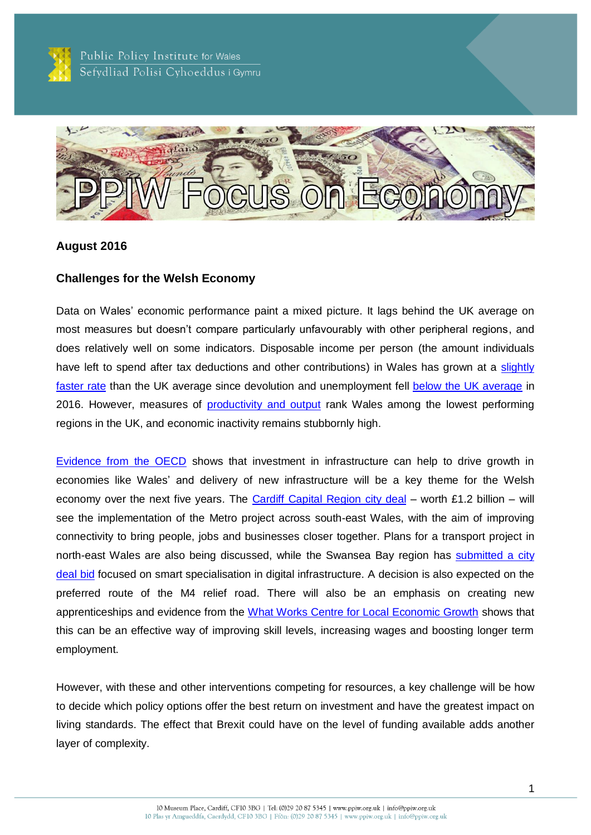

Public Policy Institute for Wales Sefydliad Polisi Cyhoeddus i Gymru



### **August 2016**

### **Challenges for the Welsh Economy**

Data on Wales' economic performance paint a mixed picture. It lags behind the UK average on most measures but doesn't compare particularly unfavourably with other peripheral regions, and does relatively well on some indicators. Disposable income per person (the amount individuals have left to spend after tax deductions and other contributions) in Wales has grown at a slightly [faster rate](http://gov.wales/statistics-and-research/economic-indicators/income?slideId=0&lang=en) than the UK average since devolution and unemployment fell [below the UK average](http://gov.wales/docs/statistics/2016/160722-key-economic-statistics-july-2016-en.pdf) in 2016. However, measures of [productivity and output](http://gov.wales/statistics-and-research/economic-indicators/output?slideId=0&lang=en) rank Wales among the lowest performing regions in the UK, and economic inactivity remains stubbornly high.

[Evidence from the OECD](http://www.oecd.org/gov/regional-policy/promotinggrowthinallregions.htm) shows that investment in infrastructure can help to drive growth in economies like Wales' and delivery of new infrastructure will be a key theme for the Welsh economy over the next five years. The [Cardiff Capital Region](https://www.gov.uk/government/publications/city-deal-cardiff-capital-region) city deal – worth £1.2 billion – will see the implementation of the Metro project across south-east Wales, with the aim of improving connectivity to bring people, jobs and businesses closer together. Plans for a transport project in north-east Wales are also being discussed, while the Swansea Bay region has [submitted](http://www.swanseabaycityregion.com/en/city-deal.htm) a city [deal](http://www.swanseabaycityregion.com/en/city-deal.htm) bid focused on smart specialisation in digital infrastructure. A decision is also expected on the preferred route of the M4 relief road. There will also be an emphasis on creating new apprenticeships and evidence from the [What Works Centre for Local Economic Growth](http://www.whatworksgrowth.org/policy-reviews/apprenticeships/) shows that this can be an effective way of improving skill levels, increasing wages and boosting longer term employment.

However, with these and other interventions competing for resources, a key challenge will be how to decide which policy options offer the best return on investment and have the greatest impact on living standards. The effect that Brexit could have on the level of funding available adds another layer of complexity.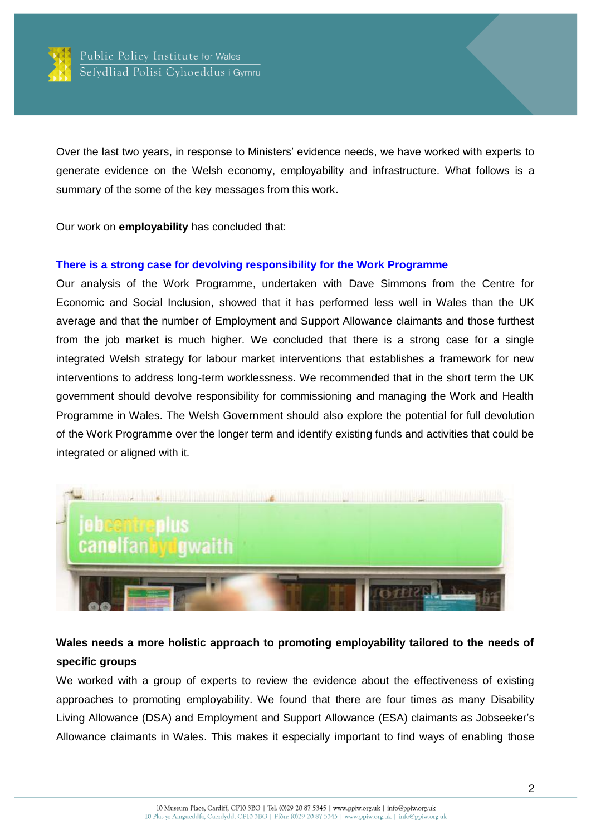

Over the last two years, in response to Ministers' evidence needs, we have worked with experts to generate evidence on the Welsh economy, employability and infrastructure. What follows is a summary of the some of the key messages from this work.

Our work on **employability** has concluded that:

#### **[There is a strong case for devolving responsibility for the Work Programme](http://ppiw.org.uk/files/2016/01/PPIW-Report-Rethinking-the-Work-Programme-in-Wales.pdf)**

Our analysis of the Work Programme, undertaken with Dave Simmons from the Centre for Economic and Social Inclusion, showed that it has performed less well in Wales than the UK average and that the number of Employment and Support Allowance claimants and those furthest from the job market is much higher. We concluded that there is a strong case for a single integrated Welsh strategy for labour market interventions that establishes a framework for new interventions to address long-term worklessness. We recommended that in the short term the UK government should devolve responsibility for commissioning and managing the Work and Health Programme in Wales. The Welsh Government should also explore the potential for full devolution of the Work Programme over the longer term and identify existing funds and activities that could be integrated or aligned with it.



# **Wales needs a more holistic approach to promoting employability tailored to the needs of specific groups**

We worked with a group of experts to review the evidence about the effectiveness of existing approaches to promoting employability. We found that there are four times as many Disability Living Allowance (DSA) and Employment and Support Allowance (ESA) claimants as Jobseeker's Allowance claimants in Wales. This makes it especially important to find ways of enabling those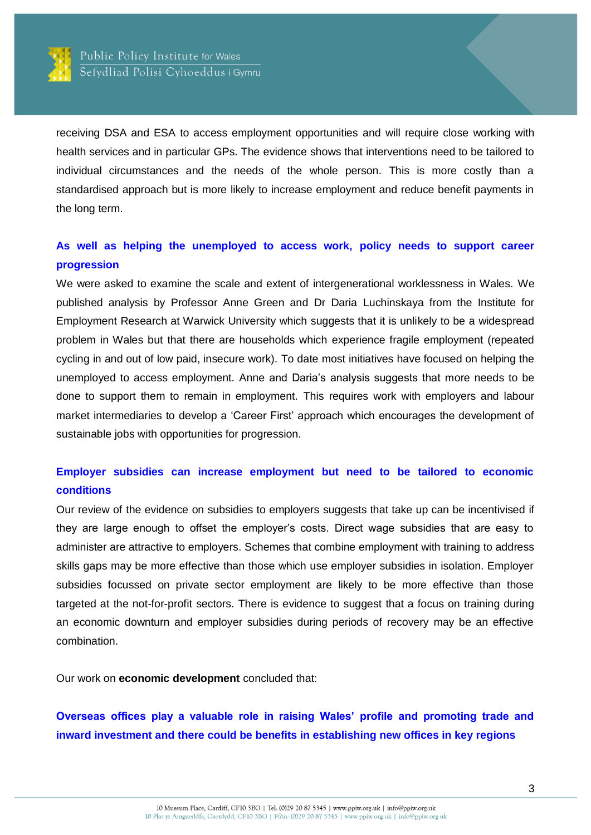

receiving DSA and ESA to access employment opportunities and will require close working with health services and in particular GPs. The evidence shows that interventions need to be tailored to individual circumstances and the needs of the whole person. This is more costly than a standardised approach but is more likely to increase employment and reduce benefit payments in the long term.

### **[As well as helping the unemployed to access work, policy needs](http://ppiw.org.uk/ppiw-report-publication-breaking-the-cycle-what-works-in-reducing-intergenerational-worklessness-and-fragile-employment/) to support career [progression](http://ppiw.org.uk/ppiw-report-publication-breaking-the-cycle-what-works-in-reducing-intergenerational-worklessness-and-fragile-employment/)**

We were asked to examine the scale and extent of intergenerational worklessness in Wales. We published analysis by Professor Anne Green and Dr Daria Luchinskaya from the Institute for Employment Research at Warwick University which suggests that it is unlikely to be a widespread problem in Wales but that there are households which experience fragile employment (repeated cycling in and out of low paid, insecure work). To date most initiatives have focused on helping the unemployed to access employment. Anne and Daria's analysis suggests that more needs to be done to support them to remain in employment. This requires work with employers and labour market intermediaries to develop a 'Career First' approach which encourages the development of sustainable jobs with opportunities for progression.

# **[Employer subsidies can increase employment but need to be tailored to economic](http://ppiw.org.uk/blog-the-effectiveness-of-employer-subsidies-in-tackling-worklessness/)  [conditions](http://ppiw.org.uk/blog-the-effectiveness-of-employer-subsidies-in-tackling-worklessness/)**

Our review of the evidence on subsidies to employers suggests that take up can be incentivised if they are large enough to offset the employer's costs. Direct wage subsidies that are easy to administer are attractive to employers. Schemes that combine employment with training to address skills gaps may be more effective than those which use employer subsidies in isolation. Employer subsidies focussed on private sector employment are likely to be more effective than those targeted at the not-for-profit sectors. There is evidence to suggest that a focus on training during an economic downturn and employer subsidies during periods of recovery may be an effective combination.

Our work on **economic development** concluded that:

**[Overseas offices play a valuable role in raising Wales' profile and promoting trade and](http://ppiw.org.uk/use-information-technology-and-create-roving-teams-to-strengthen-international-offices-says-new-report/)  inward investment and there could be benefits [in establishing new offices in key regions](http://ppiw.org.uk/use-information-technology-and-create-roving-teams-to-strengthen-international-offices-says-new-report/)**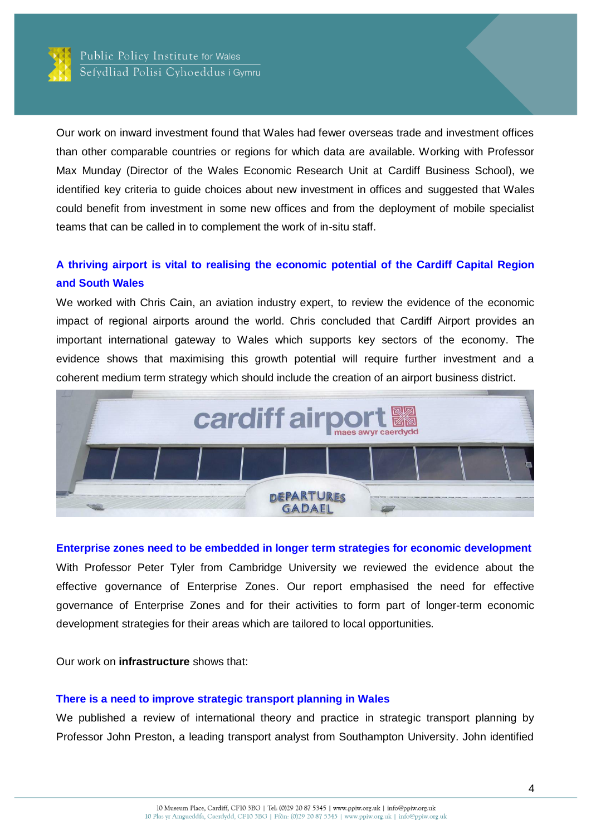

Our work on inward investment found that Wales had fewer overseas trade and investment offices than other comparable countries or regions for which data are available. Working with Professor Max Munday (Director of the Wales Economic Research Unit at Cardiff Business School), we identified key criteria to guide choices about new investment in offices and suggested that Wales could benefit from investment in some new offices and from the deployment of mobile specialist teams that can be called in to complement the work of in-situ staff.

## **[A thriving airport is vital to realising the economic potential of the Cardiff Capital Region](http://ppiw.org.uk/files/2016/01/PPIW-Report-Maximising-the-Economic-Benefits-of-Airports.pdf)  [and South Wales](http://ppiw.org.uk/files/2016/01/PPIW-Report-Maximising-the-Economic-Benefits-of-Airports.pdf)**

We worked with Chris Cain, an aviation industry expert, to review the evidence of the economic impact of regional airports around the world. Chris concluded that Cardiff Airport provides an important international gateway to Wales which supports key sectors of the economy. The evidence shows that maximising this growth potential will require further investment and a coherent medium term strategy which should include the creation of an airport business district.



### **Enterprise zones need to [be embedded in longer term strategies for economic development](http://ppiw.org.uk/files/2015/02/PPIW-Report-Governance-of-Enterprise-Zones.pdf)**

With Professor Peter Tyler from Cambridge University we reviewed the evidence about the effective governance of Enterprise Zones. Our report emphasised the need for effective governance of Enterprise Zones and for their activities to form part of longer-term economic development strategies for their areas which are tailored to local opportunities.

Our work on **infrastructure** shows that:

#### **There is a need to improve [strategic transport planning in Wales](http://ppiw.org.uk/files/2014/11/Approaches-to-strategic-transport-planning.pdf)**

We published a review of international theory and practice in strategic transport planning by Professor John Preston, a leading transport analyst from Southampton University. John identified